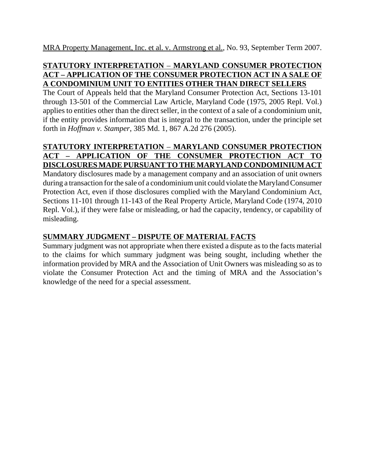MRA Property Management, Inc. et al. v. Armstrong et al., No. 93, September Term 2007.

## **STATUTORY INTERPRETATION** – **MARYLAND CONSUMER PROTECTION ACT – APPLICATION OF THE CONSUMER PROTECTION ACT IN A SALE OF A CONDOMINIUM UNIT TO ENTITIES OTHER THAN DIRECT SELLERS**

The Court of Appeals held that the Maryland Consumer Protection Act, Sections 13-101 through 13-501 of the Commercial Law Article, Maryland Code (1975, 2005 Repl. Vol.) applies to entities other than the direct seller, in the context of a sale of a condominium unit, if the entity provides information that is integral to the transaction, under the principle set forth in *Hoffman v. Stamper*, 385 Md. 1, 867 A.2d 276 (2005).

### **STATUTORY INTERPRETATION** – **MARYLAND CONSUMER PROTECTION ACT – APPLICATION OF THE CONSUMER PROTECTION ACT TO DISCLOSURES MADE PURSUANT TO THE MARYLAND CONDOMINIUM ACT**

Mandatory disclosures made by a management company and an association of unit owners during a transaction for the sale of a condominium unit could violate the Maryland Consumer Protection Act, even if those disclosures complied with the Maryland Condominium Act, Sections 11-101 through 11-143 of the Real Property Article, Maryland Code (1974, 2010 Repl. Vol.), if they were false or misleading, or had the capacity, tendency, or capability of misleading.

# **SUMMARY JUDGMENT – DISPUTE OF MATERIAL FACTS**

Summary judgment was not appropriate when there existed a dispute as to the facts material to the claims for which summary judgment was being sought, including whether the information provided by MRA and the Association of Unit Owners was misleading so as to violate the Consumer Protection Act and the timing of MRA and the Association's knowledge of the need for a special assessment.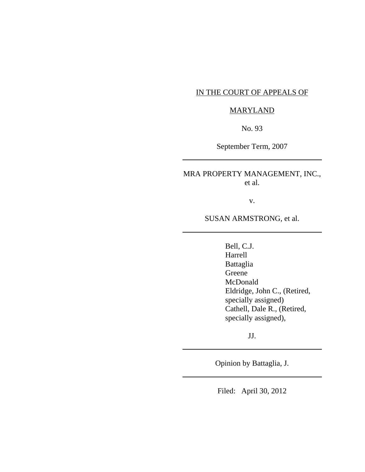### IN THE COURT OF APPEALS OF

#### MARYLAND

No. 93

September Term, 2007

MRA PROPERTY MANAGEMENT, INC., et al.

v.

SUSAN ARMSTRONG, et al.

Bell, C.J. Harrell Battaglia Greene McDonald Eldridge, John C., (Retired, specially assigned) Cathell, Dale R., (Retired, specially assigned),

JJ.

Opinion by Battaglia, J.

Filed: April 30, 2012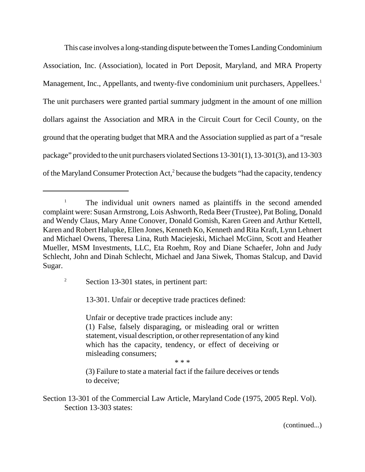This case involves a long-standing dispute between the Tomes Landing Condominium Association, Inc. (Association), located in Port Deposit, Maryland, and MRA Property Management, Inc., Appellants, and twenty-five condominium unit purchasers, Appellees.<sup>1</sup> The unit purchasers were granted partial summary judgment in the amount of one million dollars against the Association and MRA in the Circuit Court for Cecil County, on the ground that the operating budget that MRA and the Association supplied as part of a "resale package" provided to the unit purchasers violated Sections 13-301(1), 13-301(3), and 13-303 of the Maryland Consumer Protection Act,<sup>2</sup> because the budgets "had the capacity, tendency

<sup>2</sup> Section 13-301 states, in pertinent part:

13-301. Unfair or deceptive trade practices defined:

Unfair or deceptive trade practices include any: (1) False, falsely disparaging, or misleading oral or written statement, visual description, or other representation of any kind which has the capacity, tendency, or effect of deceiving or misleading consumers;

\* \* \*

(3) Failure to state a material fact if the failure deceives or tends to deceive;

Section 13-301 of the Commercial Law Article, Maryland Code (1975, 2005 Repl. Vol). Section 13-303 states:

<sup>&</sup>lt;sup>1</sup> The individual unit owners named as plaintiffs in the second amended complaint were: Susan Armstrong, Lois Ashworth, Reda Beer (Trustee), Pat Boling, Donald and Wendy Claus, Mary Anne Conover, Donald Gomish, Karen Green and Arthur Kettell, Karen and Robert Halupke, Ellen Jones, Kenneth Ko, Kenneth and Rita Kraft, Lynn Lehnert and Michael Owens, Theresa Lina, Ruth Maciejeski, Michael McGinn, Scott and Heather Mueller, MSM Investments, LLC, Eta Roehm, Roy and Diane Schaefer, John and Judy Schlecht, John and Dinah Schlecht, Michael and Jana Siwek, Thomas Stalcup, and David Sugar.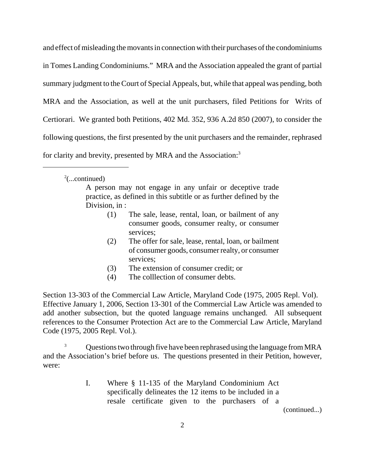and effect of misleading the movants in connection with their purchases of the condominiums in Tomes Landing Condominiums." MRA and the Association appealed the grant of partial summary judgment to the Court of Special Appeals, but, while that appeal was pending, both MRA and the Association, as well at the unit purchasers, filed Petitions for Writs of Certiorari. We granted both Petitions, 402 Md. 352, 936 A.2d 850 (2007), to consider the following questions, the first presented by the unit purchasers and the remainder, rephrased for clarity and brevity, presented by MRA and the Association:<sup>3</sup>

 $2$ (...continued)

A person may not engage in any unfair or deceptive trade practice, as defined in this subtitle or as further defined by the Division, in :

- (1) The sale, lease, rental, loan, or bailment of any consumer goods, consumer realty, or consumer services;
- (2) The offer for sale, lease, rental, loan, or bailment of consumer goods, consumer realty, or consumer services;
- (3) The extension of consumer credit; or
- (4) The colllection of consumer debts.

Section 13-303 of the Commercial Law Article, Maryland Code (1975, 2005 Repl. Vol). Effective January 1, 2006, Section 13-301 of the Commercial Law Article was amended to add another subsection, but the quoted language remains unchanged. All subsequent references to the Consumer Protection Act are to the Commercial Law Article, Maryland Code (1975, 2005 Repl. Vol.).

<sup>3</sup> Questions two through five have been rephrased using the language from MRA and the Association's brief before us. The questions presented in their Petition, however, were:

> I. Where § 11-135 of the Maryland Condominium Act specifically delineates the 12 items to be included in a resale certificate given to the purchasers of a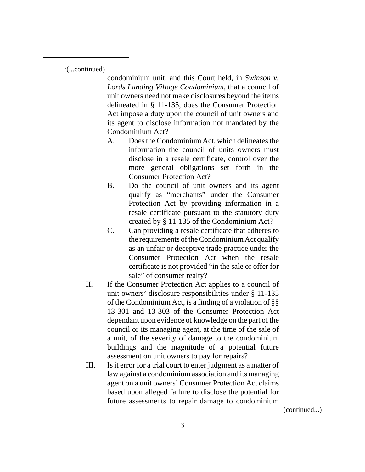$3$ (...continued)

condominium unit, and this Court held, in *Swinson v. Lords Landing Village Condominium*, that a council of unit owners need not make disclosures beyond the items delineated in § 11-135, does the Consumer Protection Act impose a duty upon the council of unit owners and its agent to disclose information not mandated by the Condominium Act?

- A. Does the Condominium Act, which delineates the information the council of units owners must disclose in a resale certificate, control over the more general obligations set forth in the Consumer Protection Act?
- B. Do the council of unit owners and its agent qualify as "merchants" under the Consumer Protection Act by providing information in a resale certificate pursuant to the statutory duty created by § 11-135 of the Condominium Act?
- C. Can providing a resale certificate that adheres to the requirements of the Condominium Act qualify as an unfair or deceptive trade practice under the Consumer Protection Act when the resale certificate is not provided "in the sale or offer for sale" of consumer realty?
- II. If the Consumer Protection Act applies to a council of unit owners' disclosure responsibilities under § 11-135 of the Condominium Act, is a finding of a violation of §§ 13-301 and 13-303 of the Consumer Protection Act dependant upon evidence of knowledge on the part of the council or its managing agent, at the time of the sale of a unit, of the severity of damage to the condominium buildings and the magnitude of a potential future assessment on unit owners to pay for repairs?
- III. Is it error for a trial court to enter judgment as a matter of law against a condominium association and its managing agent on a unit owners' Consumer Protection Act claims based upon alleged failure to disclose the potential for future assessments to repair damage to condominium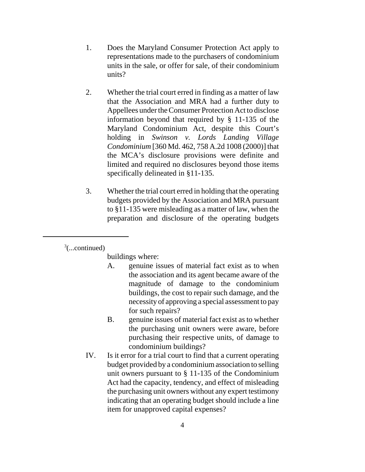- 1. Does the Maryland Consumer Protection Act apply to representations made to the purchasers of condominium units in the sale, or offer for sale, of their condominium units?
- 2. Whether the trial court erred in finding as a matter of law that the Association and MRA had a further duty to Appellees under the Consumer Protection Act to disclose information beyond that required by § 11-135 of the Maryland Condominium Act, despite this Court's holding in *Swinson v. Lords Landing Village Condominium* [360 Md. 462, 758 A.2d 1008 (2000)] that the MCA's disclosure provisions were definite and limited and required no disclosures beyond those items specifically delineated in §11-135.
- 3. Whether the trial court erred in holding that the operating budgets provided by the Association and MRA pursuant to §11-135 were misleading as a matter of law, when the preparation and disclosure of the operating budgets

 $\alpha^3$ (...continued)

buildings where:

- A. genuine issues of material fact exist as to when the association and its agent became aware of the magnitude of damage to the condominium buildings, the cost to repair such damage, and the necessity of approving a special assessment to pay for such repairs?
- B. genuine issues of material fact exist as to whether the purchasing unit owners were aware, before purchasing their respective units, of damage to condominium buildings?
- IV. Is it error for a trial court to find that a current operating budget provided by a condominium association to selling unit owners pursuant to § 11-135 of the Condominium Act had the capacity, tendency, and effect of misleading the purchasing unit owners without any expert testimony indicating that an operating budget should include a line item for unapproved capital expenses?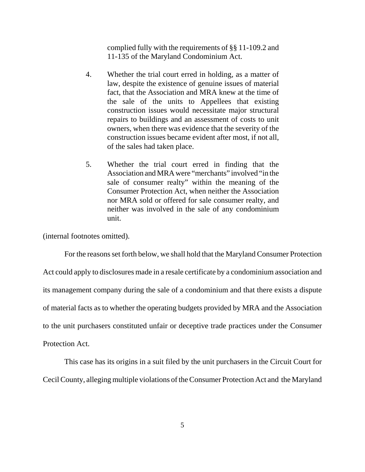complied fully with the requirements of §§ 11-109.2 and 11-135 of the Maryland Condominium Act.

- 4. Whether the trial court erred in holding, as a matter of law, despite the existence of genuine issues of material fact, that the Association and MRA knew at the time of the sale of the units to Appellees that existing construction issues would necessitate major structural repairs to buildings and an assessment of costs to unit owners, when there was evidence that the severity of the construction issues became evident after most, if not all, of the sales had taken place.
- 5. Whether the trial court erred in finding that the Association and MRA were "merchants" involved "in the sale of consumer realty" within the meaning of the Consumer Protection Act, when neither the Association nor MRA sold or offered for sale consumer realty, and neither was involved in the sale of any condominium unit.

(internal footnotes omitted).

For the reasons set forth below, we shall hold that the Maryland Consumer Protection Act could apply to disclosures made in a resale certificate by a condominium association and its management company during the sale of a condominium and that there exists a dispute of material facts as to whether the operating budgets provided by MRA and the Association to the unit purchasers constituted unfair or deceptive trade practices under the Consumer Protection Act.

This case has its origins in a suit filed by the unit purchasers in the Circuit Court for Cecil County, alleging multiple violations of the Consumer Protection Act and the Maryland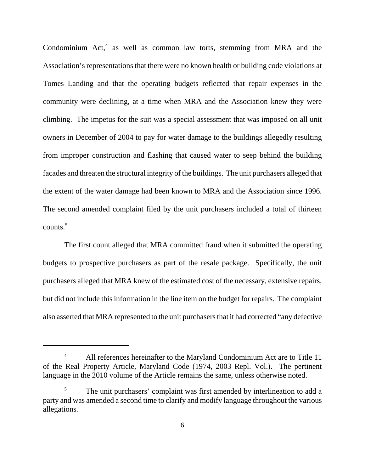Condominium  $Act<sub>1</sub><sup>4</sup>$  as well as common law torts, stemming from MRA and the Association's representations that there were no known health or building code violations at Tomes Landing and that the operating budgets reflected that repair expenses in the community were declining, at a time when MRA and the Association knew they were climbing. The impetus for the suit was a special assessment that was imposed on all unit owners in December of 2004 to pay for water damage to the buildings allegedly resulting from improper construction and flashing that caused water to seep behind the building facades and threaten the structural integrity of the buildings. The unit purchasers alleged that the extent of the water damage had been known to MRA and the Association since 1996. The second amended complaint filed by the unit purchasers included a total of thirteen  $counts.<sup>5</sup>$ 

The first count alleged that MRA committed fraud when it submitted the operating budgets to prospective purchasers as part of the resale package. Specifically, the unit purchasers alleged that MRA knew of the estimated cost of the necessary, extensive repairs, but did not include this information in the line item on the budget for repairs. The complaint also asserted that MRA represented to the unit purchasers that it had corrected "any defective

<sup>&</sup>lt;sup>4</sup> All references hereinafter to the Maryland Condominium Act are to Title 11 of the Real Property Article, Maryland Code (1974, 2003 Repl. Vol.). The pertinent language in the 2010 volume of the Article remains the same, unless otherwise noted.

<sup>&</sup>lt;sup>5</sup> The unit purchasers' complaint was first amended by interlineation to add a party and was amended a second time to clarify and modify language throughout the various allegations.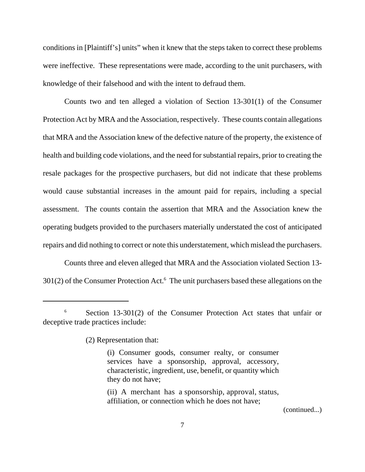conditions in [Plaintiff's] units" when it knew that the steps taken to correct these problems were ineffective. These representations were made, according to the unit purchasers, with knowledge of their falsehood and with the intent to defraud them.

Counts two and ten alleged a violation of Section 13-301(1) of the Consumer Protection Act by MRA and the Association, respectively. These counts contain allegations that MRA and the Association knew of the defective nature of the property, the existence of health and building code violations, and the need for substantial repairs, prior to creating the resale packages for the prospective purchasers, but did not indicate that these problems would cause substantial increases in the amount paid for repairs, including a special assessment. The counts contain the assertion that MRA and the Association knew the operating budgets provided to the purchasers materially understated the cost of anticipated repairs and did nothing to correct or note this understatement, which mislead the purchasers.

Counts three and eleven alleged that MRA and the Association violated Section 13- 301(2) of the Consumer Protection Act.<sup>6</sup> The unit purchasers based these allegations on the

(2) Representation that:

<sup>&</sup>lt;sup>6</sup> Section 13-301(2) of the Consumer Protection Act states that unfair or deceptive trade practices include:

<sup>(</sup>i) Consumer goods, consumer realty, or consumer services have a sponsorship, approval, accessory, characteristic, ingredient, use, benefit, or quantity which they do not have;

 <sup>(</sup>ii) A merchant has a sponsorship, approval, status, affiliation, or connection which he does not have;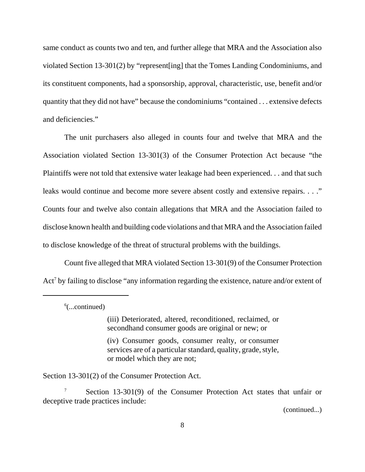same conduct as counts two and ten, and further allege that MRA and the Association also violated Section 13-301(2) by "represent[ing] that the Tomes Landing Condominiums, and its constituent components, had a sponsorship, approval, characteristic, use, benefit and/or quantity that they did not have" because the condominiums "contained . . . extensive defects and deficiencies."

The unit purchasers also alleged in counts four and twelve that MRA and the Association violated Section 13-301(3) of the Consumer Protection Act because "the Plaintiffs were not told that extensive water leakage had been experienced. . . and that such leaks would continue and become more severe absent costly and extensive repairs. . . ." Counts four and twelve also contain allegations that MRA and the Association failed to disclose known health and building code violations and that MRA and the Association failed to disclose knowledge of the threat of structural problems with the buildings.

Count five alleged that MRA violated Section 13-301(9) of the Consumer Protection Act<sup>7</sup> by failing to disclose "any information regarding the existence, nature and/or extent of

 $6$ (...continued)

(iii) Deteriorated, altered, reconditioned, reclaimed, or secondhand consumer goods are original or new; or

 (iv) Consumer goods, consumer realty, or consumer services are of a particular standard, quality, grade, style, or model which they are not;

Section 13-301(2) of the Consumer Protection Act.

<sup>7</sup> Section 13-301(9) of the Consumer Protection Act states that unfair or deceptive trade practices include: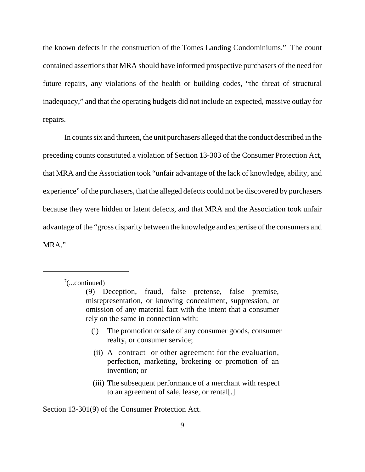the known defects in the construction of the Tomes Landing Condominiums." The count contained assertions that MRA should have informed prospective purchasers of the need for future repairs, any violations of the health or building codes, "the threat of structural inadequacy," and that the operating budgets did not include an expected, massive outlay for repairs.

In counts six and thirteen, the unit purchasers alleged that the conduct described in the preceding counts constituted a violation of Section 13-303 of the Consumer Protection Act, that MRA and the Association took "unfair advantage of the lack of knowledge, ability, and experience" of the purchasers, that the alleged defects could not be discovered by purchasers because they were hidden or latent defects, and that MRA and the Association took unfair advantage of the "gross disparity between the knowledge and expertise of the consumers and MRA."

- (i) The promotion or sale of any consumer goods, consumer realty, or consumer service;
- (ii) A contract or other agreement for the evaluation, perfection, marketing, brokering or promotion of an invention; or
- (iii) The subsequent performance of a merchant with respect to an agreement of sale, lease, or rental[.]

Section 13-301(9) of the Consumer Protection Act.

 $7$ (...continued)

<sup>(9)</sup> Deception, fraud, false pretense, false premise, misrepresentation, or knowing concealment, suppression, or omission of any material fact with the intent that a consumer rely on the same in connection with: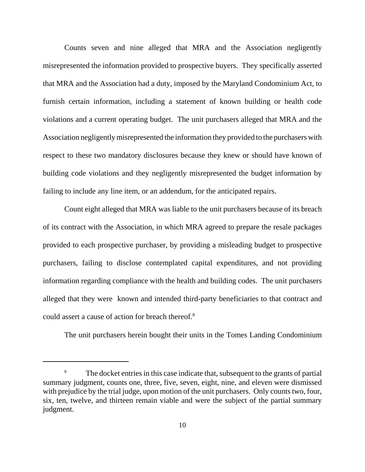Counts seven and nine alleged that MRA and the Association negligently misrepresented the information provided to prospective buyers. They specifically asserted that MRA and the Association had a duty, imposed by the Maryland Condominium Act, to furnish certain information, including a statement of known building or health code violations and a current operating budget. The unit purchasers alleged that MRA and the Association negligently misrepresented the information they provided to the purchasers with respect to these two mandatory disclosures because they knew or should have known of building code violations and they negligently misrepresented the budget information by failing to include any line item, or an addendum, for the anticipated repairs.

Count eight alleged that MRA was liable to the unit purchasers because of its breach of its contract with the Association, in which MRA agreed to prepare the resale packages provided to each prospective purchaser, by providing a misleading budget to prospective purchasers, failing to disclose contemplated capital expenditures, and not providing information regarding compliance with the health and building codes. The unit purchasers alleged that they were known and intended third-party beneficiaries to that contract and could assert a cause of action for breach thereof.<sup>8</sup>

The unit purchasers herein bought their units in the Tomes Landing Condominium

<sup>&</sup>lt;sup>8</sup> The docket entries in this case indicate that, subsequent to the grants of partial summary judgment, counts one, three, five, seven, eight, nine, and eleven were dismissed with prejudice by the trial judge, upon motion of the unit purchasers. Only counts two, four, six, ten, twelve, and thirteen remain viable and were the subject of the partial summary judgment.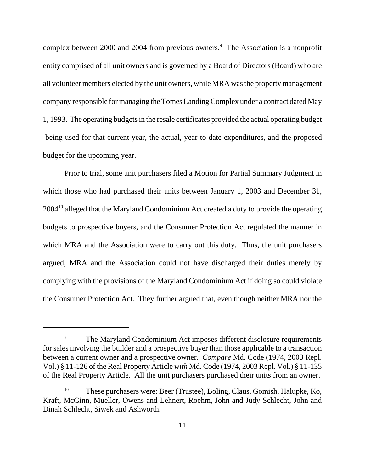complex between 2000 and 2004 from previous owners.<sup>9</sup> The Association is a nonprofit entity comprised of all unit owners and is governed by a Board of Directors (Board) who are all volunteer members elected by the unit owners, while MRA was the property management company responsible for managing the Tomes Landing Complex under a contract dated May 1, 1993. The operating budgets in the resale certificates provided the actual operating budget being used for that current year, the actual, year-to-date expenditures, and the proposed budget for the upcoming year.

Prior to trial, some unit purchasers filed a Motion for Partial Summary Judgment in which those who had purchased their units between January 1, 2003 and December 31, 2004<sup>10</sup> alleged that the Maryland Condominium Act created a duty to provide the operating budgets to prospective buyers, and the Consumer Protection Act regulated the manner in which MRA and the Association were to carry out this duty. Thus, the unit purchasers argued, MRA and the Association could not have discharged their duties merely by complying with the provisions of the Maryland Condominium Act if doing so could violate the Consumer Protection Act. They further argued that, even though neither MRA nor the

<sup>&</sup>lt;sup>9</sup> The Maryland Condominium Act imposes different disclosure requirements for sales involving the builder and a prospective buyer than those applicable to a transaction between a current owner and a prospective owner. *Compare* Md. Code (1974, 2003 Repl. Vol.) § 11-126 of the Real Property Article *with* Md. Code (1974, 2003 Repl. Vol.) § 11-135 of the Real Property Article. All the unit purchasers purchased their units from an owner.

<sup>&</sup>lt;sup>10</sup> These purchasers were: Beer (Trustee), Boling, Claus, Gomish, Halupke, Ko, Kraft, McGinn, Mueller, Owens and Lehnert, Roehm, John and Judy Schlecht, John and Dinah Schlecht, Siwek and Ashworth.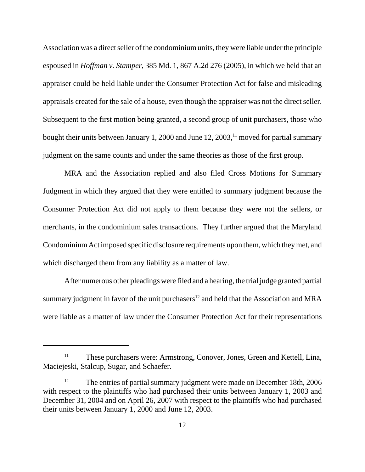Association was a direct seller of the condominium units, they were liable under the principle espoused in *Hoffman v. Stamper*, 385 Md. 1, 867 A.2d 276 (2005), in which we held that an appraiser could be held liable under the Consumer Protection Act for false and misleading appraisals created for the sale of a house, even though the appraiser was not the direct seller. Subsequent to the first motion being granted, a second group of unit purchasers, those who bought their units between January 1, 2000 and June  $12, 2003$ ,<sup>11</sup> moved for partial summary judgment on the same counts and under the same theories as those of the first group.

MRA and the Association replied and also filed Cross Motions for Summary Judgment in which they argued that they were entitled to summary judgment because the Consumer Protection Act did not apply to them because they were not the sellers, or merchants, in the condominium sales transactions. They further argued that the Maryland Condominium Act imposed specific disclosure requirements upon them, which they met, and which discharged them from any liability as a matter of law.

After numerous other pleadings were filed and a hearing, the trial judge granted partial summary judgment in favor of the unit purchasers<sup>12</sup> and held that the Association and MRA were liable as a matter of law under the Consumer Protection Act for their representations

<sup>&</sup>lt;sup>11</sup> These purchasers were: Armstrong, Conover, Jones, Green and Kettell, Lina, Maciejeski, Stalcup, Sugar, and Schaefer.

<sup>&</sup>lt;sup>12</sup> The entries of partial summary judgment were made on December 18th, 2006 with respect to the plaintiffs who had purchased their units between January 1, 2003 and December 31, 2004 and on April 26, 2007 with respect to the plaintiffs who had purchased their units between January 1, 2000 and June 12, 2003.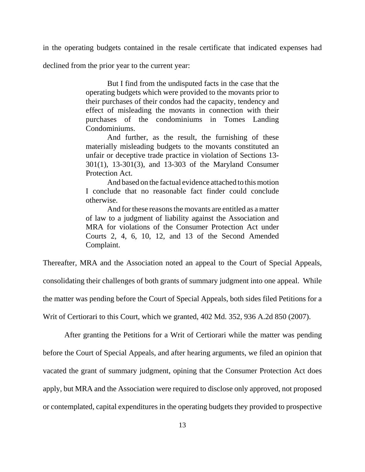in the operating budgets contained in the resale certificate that indicated expenses had

declined from the prior year to the current year:

But I find from the undisputed facts in the case that the operating budgets which were provided to the movants prior to their purchases of their condos had the capacity, tendency and effect of misleading the movants in connection with their purchases of the condominiums in Tomes Landing Condominiums.

And further, as the result, the furnishing of these materially misleading budgets to the movants constituted an unfair or deceptive trade practice in violation of Sections 13- 301(1), 13-301(3), and 13-303 of the Maryland Consumer Protection Act.

And based on the factual evidence attached to this motion I conclude that no reasonable fact finder could conclude otherwise.

And for these reasons the movants are entitled as a matter of law to a judgment of liability against the Association and MRA for violations of the Consumer Protection Act under Courts 2, 4, 6, 10, 12, and 13 of the Second Amended Complaint.

Thereafter, MRA and the Association noted an appeal to the Court of Special Appeals, consolidating their challenges of both grants of summary judgment into one appeal. While the matter was pending before the Court of Special Appeals, both sides filed Petitions for a Writ of Certiorari to this Court, which we granted, 402 Md. 352, 936 A.2d 850 (2007).

After granting the Petitions for a Writ of Certiorari while the matter was pending before the Court of Special Appeals, and after hearing arguments, we filed an opinion that vacated the grant of summary judgment, opining that the Consumer Protection Act does apply, but MRA and the Association were required to disclose only approved, not proposed or contemplated, capital expenditures in the operating budgets they provided to prospective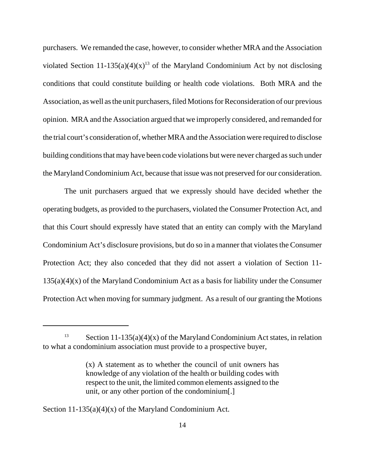purchasers. We remanded the case, however, to consider whether MRA and the Association violated Section 11-135(a)(4)(x)<sup>13</sup> of the Maryland Condominium Act by not disclosing conditions that could constitute building or health code violations. Both MRA and the Association, as well as the unit purchasers, filed Motions for Reconsideration of our previous opinion. MRA and the Association argued that we improperly considered, and remanded for the trial court's consideration of, whether MRA and the Association were required to disclose building conditions that may have been code violations but were never charged as such under the Maryland Condominium Act, because that issue was not preserved for our consideration.

The unit purchasers argued that we expressly should have decided whether the operating budgets, as provided to the purchasers, violated the Consumer Protection Act, and that this Court should expressly have stated that an entity can comply with the Maryland Condominium Act's disclosure provisions, but do so in a manner that violates the Consumer Protection Act; they also conceded that they did not assert a violation of Section 11-  $135(a)(4)(x)$  of the Maryland Condominium Act as a basis for liability under the Consumer Protection Act when moving for summary judgment. As a result of our granting the Motions

Section  $11-135(a)(4)(x)$  of the Maryland Condominium Act.

<sup>&</sup>lt;sup>13</sup> Section 11-135(a)(4)(x) of the Maryland Condominium Act states, in relation to what a condominium association must provide to a prospective buyer,

<sup>(</sup>x) A statement as to whether the council of unit owners has knowledge of any violation of the health or building codes with respect to the unit, the limited common elements assigned to the unit, or any other portion of the condominium[.]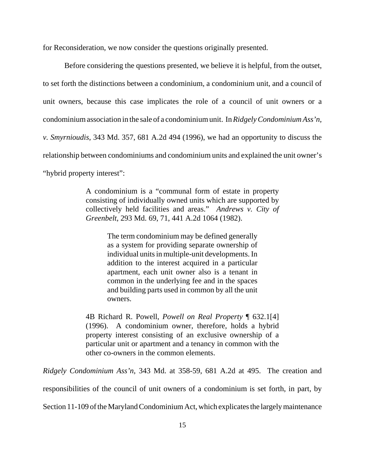for Reconsideration, we now consider the questions originally presented.

Before considering the questions presented, we believe it is helpful, from the outset, to set forth the distinctions between a condominium, a condominium unit, and a council of unit owners, because this case implicates the role of a council of unit owners or a condominium association in the sale of a condominium unit. In *Ridgely Condominium Ass'n, v. Smyrnioudis*, 343 Md. 357, 681 A.2d 494 (1996), we had an opportunity to discuss the relationship between condominiums and condominium units and explained the unit owner's "hybrid property interest":

> A condominium is a "communal form of estate in property consisting of individually owned units which are supported by collectively held facilities and areas." *Andrews v. City of Greenbelt*, 293 Md. 69, 71, 441 A.2d 1064 (1982).

> > The term condominium may be defined generally as a system for providing separate ownership of individual units in multiple-unit developments. In addition to the interest acquired in a particular apartment, each unit owner also is a tenant in common in the underlying fee and in the spaces and building parts used in common by all the unit owners.

4B Richard R. Powell, *Powell on Real Property* ¶ 632.1[4] (1996). A condominium owner, therefore, holds a hybrid property interest consisting of an exclusive ownership of a particular unit or apartment and a tenancy in common with the other co-owners in the common elements.

*Ridgely Condominium Ass'n*, 343 Md. at 358-59, 681 A.2d at 495. The creation and

responsibilities of the council of unit owners of a condominium is set forth, in part, by

Section 11-109 of the Maryland Condominium Act, which explicates the largely maintenance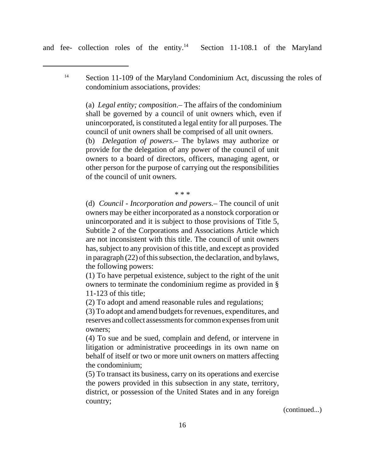and fee- collection roles of the entity.<sup>14</sup> Section 11-108.1 of the Maryland

<sup>14</sup> Section 11-109 of the Maryland Condominium Act, discussing the roles of condominium associations, provides:

(a) *Legal entity; composition*.– The affairs of the condominium shall be governed by a council of unit owners which, even if unincorporated, is constituted a legal entity for all purposes. The council of unit owners shall be comprised of all unit owners.

(b) *Delegation of powers.*– The bylaws may authorize or provide for the delegation of any power of the council of unit owners to a board of directors, officers, managing agent, or other person for the purpose of carrying out the responsibilities of the council of unit owners.

\* \* \*

(d) *Council - Incorporation and powers.*– The council of unit owners may be either incorporated as a nonstock corporation or unincorporated and it is subject to those provisions of Title 5, Subtitle 2 of the Corporations and Associations Article which are not inconsistent with this title. The council of unit owners has, subject to any provision of this title, and except as provided in paragraph (22) of this subsection, the declaration, and bylaws, the following powers:

(1) To have perpetual existence, subject to the right of the unit owners to terminate the condominium regime as provided in § 11-123 of this title;

(2) To adopt and amend reasonable rules and regulations;

(3) To adopt and amend budgets for revenues, expenditures, and reserves and collect assessments for common expenses from unit owners;

(4) To sue and be sued, complain and defend, or intervene in litigation or administrative proceedings in its own name on behalf of itself or two or more unit owners on matters affecting the condominium;

(5) To transact its business, carry on its operations and exercise the powers provided in this subsection in any state, territory, district, or possession of the United States and in any foreign country;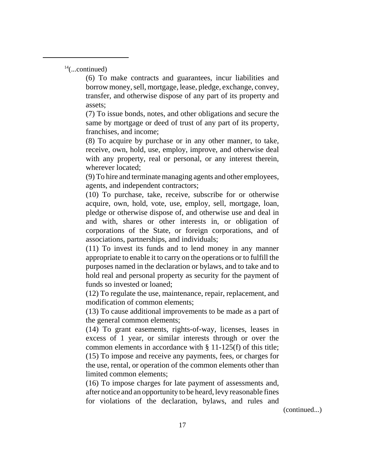$14$ (...continued)

(6) To make contracts and guarantees, incur liabilities and borrow money, sell, mortgage, lease, pledge, exchange, convey, transfer, and otherwise dispose of any part of its property and assets;

(7) To issue bonds, notes, and other obligations and secure the same by mortgage or deed of trust of any part of its property, franchises, and income;

(8) To acquire by purchase or in any other manner, to take, receive, own, hold, use, employ, improve, and otherwise deal with any property, real or personal, or any interest therein, wherever located;

(9) To hire and terminate managing agents and other employees, agents, and independent contractors;

(10) To purchase, take, receive, subscribe for or otherwise acquire, own, hold, vote, use, employ, sell, mortgage, loan, pledge or otherwise dispose of, and otherwise use and deal in and with, shares or other interests in, or obligation of corporations of the State, or foreign corporations, and of associations, partnerships, and individuals;

(11) To invest its funds and to lend money in any manner appropriate to enable it to carry on the operations or to fulfill the purposes named in the declaration or bylaws, and to take and to hold real and personal property as security for the payment of funds so invested or loaned;

(12) To regulate the use, maintenance, repair, replacement, and modification of common elements;

(13) To cause additional improvements to be made as a part of the general common elements;

(14) To grant easements, rights-of-way, licenses, leases in excess of 1 year, or similar interests through or over the common elements in accordance with § 11-125(f) of this title; (15) To impose and receive any payments, fees, or charges for the use, rental, or operation of the common elements other than limited common elements;

(16) To impose charges for late payment of assessments and, after notice and an opportunity to be heard, levy reasonable fines for violations of the declaration, bylaws, and rules and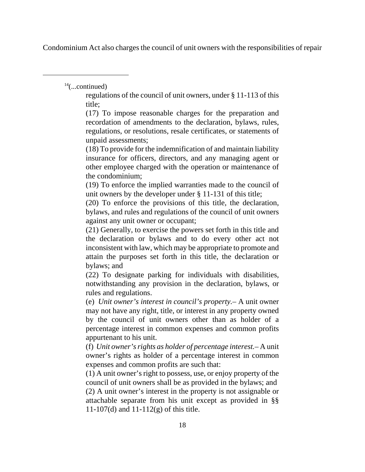Condominium Act also charges the council of unit owners with the responsibilities of repair

 $14$ (...continued)

regulations of the council of unit owners, under § 11-113 of this title;

(17) To impose reasonable charges for the preparation and recordation of amendments to the declaration, bylaws, rules, regulations, or resolutions, resale certificates, or statements of unpaid assessments;

(18) To provide for the indemnification of and maintain liability insurance for officers, directors, and any managing agent or other employee charged with the operation or maintenance of the condominium;

(19) To enforce the implied warranties made to the council of unit owners by the developer under § 11-131 of this title;

(20) To enforce the provisions of this title, the declaration, bylaws, and rules and regulations of the council of unit owners against any unit owner or occupant;

(21) Generally, to exercise the powers set forth in this title and the declaration or bylaws and to do every other act not inconsistent with law, which may be appropriate to promote and attain the purposes set forth in this title, the declaration or bylaws; and

(22) To designate parking for individuals with disabilities, notwithstanding any provision in the declaration, bylaws, or rules and regulations.

(e) *Unit owner's interest in council's property.*– A unit owner may not have any right, title, or interest in any property owned by the council of unit owners other than as holder of a percentage interest in common expenses and common profits appurtenant to his unit.

(f) *Unit owner's rights as holder of percentage interest.*– A unit owner's rights as holder of a percentage interest in common expenses and common profits are such that:

(1) A unit owner's right to possess, use, or enjoy property of the council of unit owners shall be as provided in the bylaws; and (2) A unit owner's interest in the property is not assignable or attachable separate from his unit except as provided in §§ 11-107(d) and  $11-112(g)$  of this title.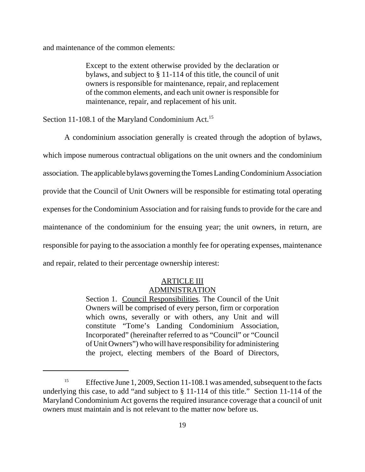and maintenance of the common elements:

Except to the extent otherwise provided by the declaration or bylaws, and subject to § 11-114 of this title, the council of unit owners is responsible for maintenance, repair, and replacement of the common elements, and each unit owner is responsible for maintenance, repair, and replacement of his unit.

Section 11-108.1 of the Maryland Condominium Act.<sup>15</sup>

A condominium association generally is created through the adoption of bylaws, which impose numerous contractual obligations on the unit owners and the condominium association. The applicable bylaws governing the Tomes Landing Condominium Association provide that the Council of Unit Owners will be responsible for estimating total operating expenses for the Condominium Association and for raising funds to provide for the care and maintenance of the condominium for the ensuing year; the unit owners, in return, are responsible for paying to the association a monthly fee for operating expenses, maintenance and repair, related to their percentage ownership interest:

### ARTICLE III ADMINISTRATION

Section 1. Council Responsibilities. The Council of the Unit Owners will be comprised of every person, firm or corporation which owns, severally or with others, any Unit and will constitute "Tome's Landing Condominium Association, Incorporated" (hereinafter referred to as "Council" or "Council of Unit Owners") who will have responsibility for administering the project, electing members of the Board of Directors,

<sup>&</sup>lt;sup>15</sup> Effective June 1, 2009, Section 11-108.1 was amended, subsequent to the facts underlying this case, to add "and subject to § 11-114 of this title." Section 11-114 of the Maryland Condominium Act governs the required insurance coverage that a council of unit owners must maintain and is not relevant to the matter now before us.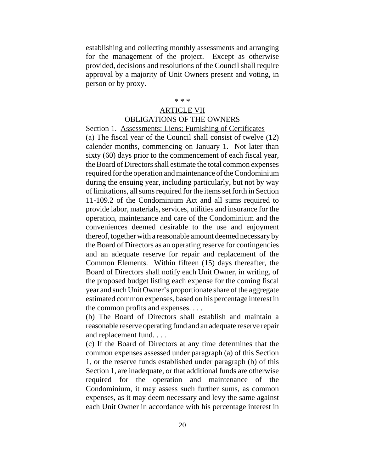establishing and collecting monthly assessments and arranging for the management of the project. Except as otherwise provided, decisions and resolutions of the Council shall require approval by a majority of Unit Owners present and voting, in person or by proxy.

#### \* \* \*

# ARTICLE VII

## OBLIGATIONS OF THE OWNERS

Section 1. Assessments: Liens; Furnishing of Certificates (a) The fiscal year of the Council shall consist of twelve (12) calender months, commencing on January 1. Not later than sixty (60) days prior to the commencement of each fiscal year, the Board of Directors shall estimate the total common expenses required for the operation and maintenance of the Condominium during the ensuing year, including particularly, but not by way of limitations, all sums required for the items set forth in Section 11-109.2 of the Condominium Act and all sums required to provide labor, materials, services, utilities and insurance for the operation, maintenance and care of the Condominium and the conveniences deemed desirable to the use and enjoyment thereof, together with a reasonable amount deemed necessary by the Board of Directors as an operating reserve for contingencies and an adequate reserve for repair and replacement of the Common Elements. Within fifteen (15) days thereafter, the Board of Directors shall notify each Unit Owner, in writing, of the proposed budget listing each expense for the coming fiscal year and such Unit Owner's proportionate share of the aggregate estimated common expenses, based on his percentage interest in the common profits and expenses. . . .

(b) The Board of Directors shall establish and maintain a reasonable reserve operating fund and an adequate reserve repair and replacement fund. . . .

(c) If the Board of Directors at any time determines that the common expenses assessed under paragraph (a) of this Section 1, or the reserve funds established under paragraph (b) of this Section 1, are inadequate, or that additional funds are otherwise required for the operation and maintenance of the Condominium, it may assess such further sums, as common expenses, as it may deem necessary and levy the same against each Unit Owner in accordance with his percentage interest in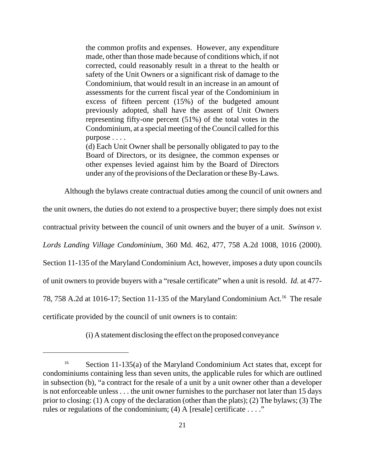the common profits and expenses. However, any expenditure made, other than those made because of conditions which, if not corrected, could reasonably result in a threat to the health or safety of the Unit Owners or a significant risk of damage to the Condominium, that would result in an increase in an amount of assessments for the current fiscal year of the Condominium in excess of fifteen percent (15%) of the budgeted amount previously adopted, shall have the assent of Unit Owners representing fifty-one percent (51%) of the total votes in the Condominium, at a special meeting of the Council called for this purpose . . . .

(d) Each Unit Owner shall be personally obligated to pay to the Board of Directors, or its designee, the common expenses or other expenses levied against him by the Board of Directors under any of the provisions of the Declaration or these By-Laws.

Although the bylaws create contractual duties among the council of unit owners and

the unit owners, the duties do not extend to a prospective buyer; there simply does not exist contractual privity between the council of unit owners and the buyer of a unit. *Swinson v. Lords Landing Village Condominium*, 360 Md. 462, 477, 758 A.2d 1008, 1016 (2000). Section 11-135 of the Maryland Condominium Act, however, imposes a duty upon councils of unit owners to provide buyers with a "resale certificate" when a unit is resold. *Id.* at 477- 78, 758 A.2d at 1016-17; Section 11-135 of the Maryland Condominium Act.<sup>16</sup> The resale certificate provided by the council of unit owners is to contain:

(i) A statement disclosing the effect on the proposed conveyance

<sup>&</sup>lt;sup>16</sup> Section 11-135(a) of the Maryland Condominium Act states that, except for condominiums containing less than seven units, the applicable rules for which are outlined in subsection (b), "a contract for the resale of a unit by a unit owner other than a developer is not enforceable unless . . . the unit owner furnishes to the purchaser not later than 15 days prior to closing: (1) A copy of the declaration (other than the plats); (2) The bylaws; (3) The rules or regulations of the condominium; (4) A [resale] certificate . . . ."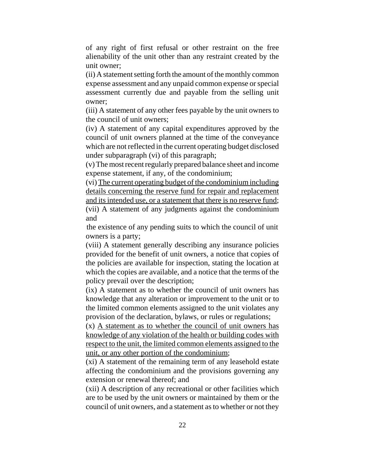of any right of first refusal or other restraint on the free alienability of the unit other than any restraint created by the unit owner;

(ii) A statement setting forth the amount of the monthly common expense assessment and any unpaid common expense or special assessment currently due and payable from the selling unit owner;

(iii) A statement of any other fees payable by the unit owners to the council of unit owners;

(iv) A statement of any capital expenditures approved by the council of unit owners planned at the time of the conveyance which are not reflected in the current operating budget disclosed under subparagraph (vi) of this paragraph;

(v) The most recent regularly prepared balance sheet and income expense statement, if any, of the condominium;

(vi) The current operating budget of the condominium including details concerning the reserve fund for repair and replacement and its intended use, or a statement that there is no reserve fund; (vii) A statement of any judgments against the condominium

and

the existence of any pending suits to which the council of unit owners is a party;

(viii) A statement generally describing any insurance policies provided for the benefit of unit owners, a notice that copies of the policies are available for inspection, stating the location at which the copies are available, and a notice that the terms of the policy prevail over the description;

(ix) A statement as to whether the council of unit owners has knowledge that any alteration or improvement to the unit or to the limited common elements assigned to the unit violates any provision of the declaration, bylaws, or rules or regulations;

(x) A statement as to whether the council of unit owners has knowledge of any violation of the health or building codes with respect to the unit, the limited common elements assigned to the unit, or any other portion of the condominium;

(xi) A statement of the remaining term of any leasehold estate affecting the condominium and the provisions governing any extension or renewal thereof; and

(xii) A description of any recreational or other facilities which are to be used by the unit owners or maintained by them or the council of unit owners, and a statement as to whether or not they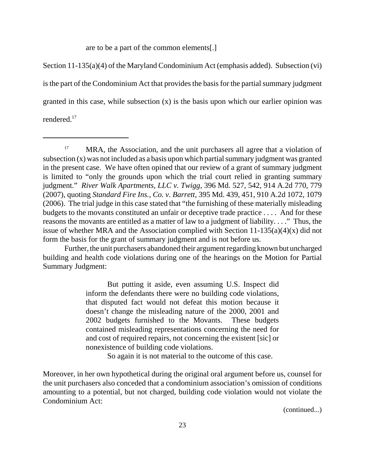are to be a part of the common elements[.]

Section 11-135(a)(4) of the Maryland Condominium Act (emphasis added). Subsection (vi) is the part of the Condominium Act that provides the basis for the partial summary judgment granted in this case, while subsection (x) is the basis upon which our earlier opinion was rendered.17

Further, the unit purchasers abandoned their argument regarding known but uncharged building and health code violations during one of the hearings on the Motion for Partial Summary Judgment:

> But putting it aside, even assuming U.S. Inspect did inform the defendants there were no building code violations, that disputed fact would not defeat this motion because it doesn't change the misleading nature of the 2000, 2001 and 2002 budgets furnished to the Movants. These budgets contained misleading representations concerning the need for and cost of required repairs, not concerning the existent [sic] or nonexistence of building code violations.

> > So again it is not material to the outcome of this case.

Moreover, in her own hypothetical during the original oral argument before us, counsel for the unit purchasers also conceded that a condominium association's omission of conditions amounting to a potential, but not charged, building code violation would not violate the Condominium Act:

<sup>&</sup>lt;sup>17</sup> MRA, the Association, and the unit purchasers all agree that a violation of subsection (x) was not included as a basis upon which partial summary judgment was granted in the present case. We have often opined that our review of a grant of summary judgment is limited to "only the grounds upon which the trial court relied in granting summary judgment." *River Walk Apartments, LLC v. Twigg*, 396 Md. 527, 542, 914 A.2d 770, 779 (2007), quoting *Standard Fire Ins., Co. v. Barrett*, 395 Md. 439, 451, 910 A.2d 1072, 1079 (2006). The trial judge in this case stated that "the furnishing of these materially misleading budgets to the movants constituted an unfair or deceptive trade practice . . . . And for these reasons the movants are entitled as a matter of law to a judgment of liability. . . ." Thus, the issue of whether MRA and the Association complied with Section  $11-135(a)(4)(x)$  did not form the basis for the grant of summary judgment and is not before us.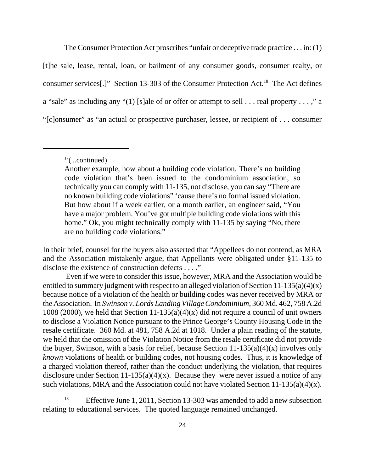The Consumer Protection Act proscribes "unfair or deceptive trade practice . . . in: (1) [t]he sale, lease, rental, loan, or bailment of any consumer goods, consumer realty, or consumer services[.]" Section 13-303 of the Consumer Protection Act.18 The Act defines a "sale" as including any "(1) [s]ale of or offer or attempt to sell . . . real property . . . ," a "[c]onsumer" as "an actual or prospective purchaser, lessee, or recipient of . . . consumer

In their brief, counsel for the buyers also asserted that "Appellees do not contend, as MRA and the Association mistakenly argue, that Appellants were obligated under §11-135 to disclose the existence of construction defects . . . ."

 Even if we were to consider this issue, however, MRA and the Association would be entitled to summary judgment with respect to an alleged violation of Section 11-135(a)(4)(x) because notice of a violation of the health or building codes was never received by MRA or the Association. In *Swinson v. Lords Landing Village Condominium*, 360 Md. 462, 758 A.2d 1008 (2000), we held that Section 11-135(a)(4)(x) did not require a council of unit owners to disclose a Violation Notice pursuant to the Prince George's County Housing Code in the resale certificate. 360 Md. at 481, 758 A.2d at 1018. Under a plain reading of the statute, we held that the omission of the Violation Notice from the resale certificate did not provide the buyer, Swinson, with a basis for relief, because Section  $11-135(a)(4)(x)$  involves only *known* violations of health or building codes, not housing codes. Thus, it is knowledge of a charged violation thereof, rather than the conduct underlying the violation, that requires disclosure under Section 11-135(a)(4)(x). Because they were never issued a notice of any such violations, MRA and the Association could not have violated Section 11-135(a)(4)(x).

Effective June 1, 2011, Section 13-303 was amended to add a new subsection relating to educational services. The quoted language remained unchanged.

 $17$ (...continued)

Another example, how about a building code violation. There's no building code violation that's been issued to the condominium association, so technically you can comply with 11-135, not disclose, you can say "There are no known building code violations" 'cause there's no formal issued violation. But how about if a week earlier, or a month earlier, an engineer said, "You have a major problem. You've got multiple building code violations with this home." Ok, you might technically comply with 11-135 by saying "No, there are no building code violations."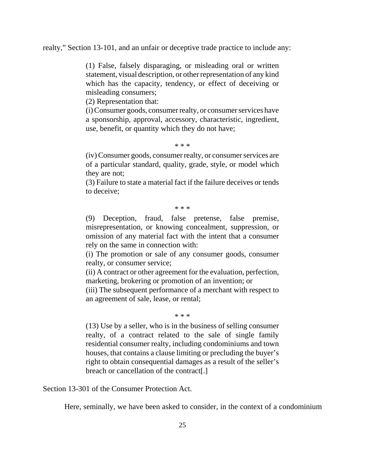realty," Section 13-101, and an unfair or deceptive trade practice to include any:

(1) False, falsely disparaging, or misleading oral or written statement, visual description, or other representation of any kind which has the capacity, tendency, or effect of deceiving or misleading consumers;

(2) Representation that:

(i) Consumer goods, consumer realty, or consumer services have a sponsorship, approval, accessory, characteristic, ingredient, use, benefit, or quantity which they do not have;

#### \* \* \*

(iv) Consumer goods, consumer realty, or consumer services are of a particular standard, quality, grade, style, or model which they are not;

(3) Failure to state a material fact if the failure deceives or tends to deceive;

\* \* \*

(9) Deception, fraud, false pretense, false premise, misrepresentation, or knowing concealment, suppression, or omission of any material fact with the intent that a consumer rely on the same in connection with:

(i) The promotion or sale of any consumer goods, consumer realty, or consumer service;

(ii) A contract or other agreement for the evaluation, perfection, marketing, brokering or promotion of an invention; or

(iii) The subsequent performance of a merchant with respect to an agreement of sale, lease, or rental;

\* \* \*

(13) Use by a seller, who is in the business of selling consumer realty, of a contract related to the sale of single family residential consumer realty, including condominiums and town houses, that contains a clause limiting or precluding the buyer's right to obtain consequential damages as a result of the seller's breach or cancellation of the contract[.]

Section 13-301 of the Consumer Protection Act.

Here, seminally, we have been asked to consider, in the context of a condominium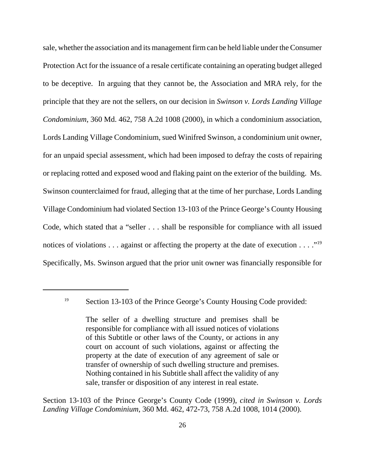sale, whether the association and its management firm can be held liable under the Consumer Protection Act for the issuance of a resale certificate containing an operating budget alleged to be deceptive. In arguing that they cannot be, the Association and MRA rely, for the principle that they are not the sellers, on our decision in *Swinson v. Lords Landing Village Condominium*, 360 Md. 462, 758 A.2d 1008 (2000), in which a condominium association, Lords Landing Village Condominium, sued Winifred Swinson, a condominium unit owner, for an unpaid special assessment, which had been imposed to defray the costs of repairing or replacing rotted and exposed wood and flaking paint on the exterior of the building. Ms. Swinson counterclaimed for fraud, alleging that at the time of her purchase, Lords Landing Village Condominium had violated Section 13-103 of the Prince George's County Housing Code, which stated that a "seller . . . shall be responsible for compliance with all issued notices of violations . . . against or affecting the property at the date of execution . . . ."<sup>19</sup> Specifically, Ms. Swinson argued that the prior unit owner was financially responsible for

Section 13-103 of the Prince George's County Code (1999), *cited in Swinson v. Lords Landing Village Condominium*, 360 Md. 462, 472-73, 758 A.2d 1008, 1014 (2000).

<sup>&</sup>lt;sup>19</sup> Section 13-103 of the Prince George's County Housing Code provided:

The seller of a dwelling structure and premises shall be responsible for compliance with all issued notices of violations of this Subtitle or other laws of the County, or actions in any court on account of such violations, against or affecting the property at the date of execution of any agreement of sale or transfer of ownership of such dwelling structure and premises. Nothing contained in his Subtitle shall affect the validity of any sale, transfer or disposition of any interest in real estate.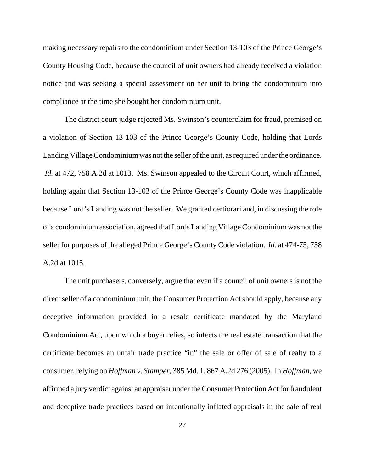making necessary repairs to the condominium under Section 13-103 of the Prince George's County Housing Code, because the council of unit owners had already received a violation notice and was seeking a special assessment on her unit to bring the condominium into compliance at the time she bought her condominium unit.

The district court judge rejected Ms. Swinson's counterclaim for fraud, premised on a violation of Section 13-103 of the Prince George's County Code, holding that Lords Landing Village Condominium was not the seller of the unit, as required under the ordinance. *Id.* at 472, 758 A.2d at 1013. Ms. Swinson appealed to the Circuit Court, which affirmed, holding again that Section 13-103 of the Prince George's County Code was inapplicable because Lord's Landing was not the seller. We granted certiorari and, in discussing the role of a condominium association, agreed that Lords Landing Village Condominium was not the seller for purposes of the alleged Prince George's County Code violation. *Id.* at 474-75, 758 A.2d at 1015.

The unit purchasers, conversely, argue that even if a council of unit owners is not the direct seller of a condominium unit, the Consumer Protection Act should apply, because any deceptive information provided in a resale certificate mandated by the Maryland Condominium Act, upon which a buyer relies, so infects the real estate transaction that the certificate becomes an unfair trade practice "in" the sale or offer of sale of realty to a consumer, relying on *Hoffman v. Stamper*, 385 Md. 1, 867 A.2d 276 (2005). In *Hoffman*, we affirmed a jury verdict against an appraiser under the Consumer Protection Act for fraudulent and deceptive trade practices based on intentionally inflated appraisals in the sale of real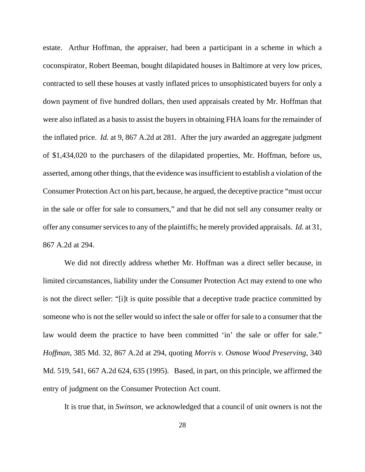estate. Arthur Hoffman, the appraiser, had been a participant in a scheme in which a coconspirator, Robert Beeman, bought dilapidated houses in Baltimore at very low prices, contracted to sell these houses at vastly inflated prices to unsophisticated buyers for only a down payment of five hundred dollars, then used appraisals created by Mr. Hoffman that were also inflated as a basis to assist the buyers in obtaining FHA loans for the remainder of the inflated price. *Id.* at 9, 867 A.2d at 281. After the jury awarded an aggregate judgment of \$1,434,020 to the purchasers of the dilapidated properties, Mr. Hoffman, before us, asserted, among other things, that the evidence was insufficient to establish a violation of the Consumer Protection Act on his part, because, he argued, the deceptive practice "must occur in the sale or offer for sale to consumers," and that he did not sell any consumer realty or offer any consumer services to any of the plaintiffs; he merely provided appraisals. *Id.* at 31, 867 A.2d at 294.

We did not directly address whether Mr. Hoffman was a direct seller because, in limited circumstances, liability under the Consumer Protection Act may extend to one who is not the direct seller: "[i]t is quite possible that a deceptive trade practice committed by someone who is not the seller would so infect the sale or offer for sale to a consumer that the law would deem the practice to have been committed 'in' the sale or offer for sale." *Hoffman*, 385 Md. 32, 867 A.2d at 294, quoting *Morris v. Osmose Wood Preserving*, 340 Md. 519, 541, 667 A.2d 624, 635 (1995). Based, in part, on this principle, we affirmed the entry of judgment on the Consumer Protection Act count.

It is true that, in *Swinson*, we acknowledged that a council of unit owners is not the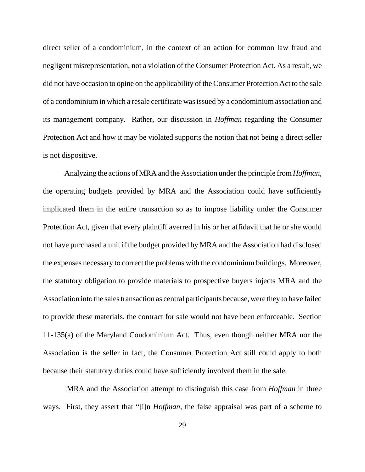direct seller of a condominium, in the context of an action for common law fraud and negligent misrepresentation, not a violation of the Consumer Protection Act. As a result, we did not have occasion to opine on the applicability of the Consumer Protection Act to the sale of a condominium in which a resale certificate was issued by a condominium association and its management company. Rather, our discussion in *Hoffman* regarding the Consumer Protection Act and how it may be violated supports the notion that not being a direct seller is not dispositive.

Analyzing the actions of MRA and the Association under the principle from *Hoffman*, the operating budgets provided by MRA and the Association could have sufficiently implicated them in the entire transaction so as to impose liability under the Consumer Protection Act, given that every plaintiff averred in his or her affidavit that he or she would not have purchased a unit if the budget provided by MRA and the Association had disclosed the expenses necessary to correct the problems with the condominium buildings. Moreover, the statutory obligation to provide materials to prospective buyers injects MRA and the Association into the sales transaction as central participants because, were they to have failed to provide these materials, the contract for sale would not have been enforceable. Section 11-135(a) of the Maryland Condominium Act. Thus, even though neither MRA nor the Association is the seller in fact, the Consumer Protection Act still could apply to both because their statutory duties could have sufficiently involved them in the sale.

 MRA and the Association attempt to distinguish this case from *Hoffman* in three ways. First, they assert that "[i]n *Hoffman*, the false appraisal was part of a scheme to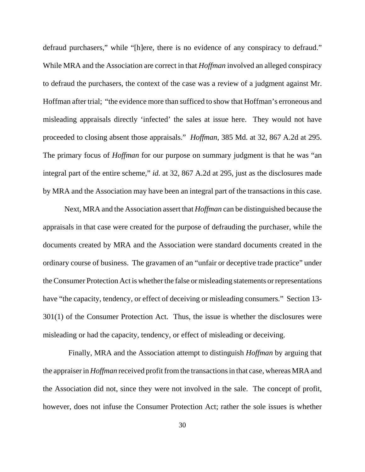defraud purchasers," while "[h]ere, there is no evidence of any conspiracy to defraud." While MRA and the Association are correct in that *Hoffman* involved an alleged conspiracy to defraud the purchasers, the context of the case was a review of a judgment against Mr. Hoffman after trial; "the evidence more than sufficed to show that Hoffman's erroneous and misleading appraisals directly 'infected' the sales at issue here. They would not have proceeded to closing absent those appraisals." *Hoffman*, 385 Md. at 32, 867 A.2d at 295. The primary focus of *Hoffman* for our purpose on summary judgment is that he was "an integral part of the entire scheme," *id.* at 32, 867 A.2d at 295, just as the disclosures made by MRA and the Association may have been an integral part of the transactions in this case.

Next, MRA and the Association assert that *Hoffman* can be distinguished because the appraisals in that case were created for the purpose of defrauding the purchaser, while the documents created by MRA and the Association were standard documents created in the ordinary course of business. The gravamen of an "unfair or deceptive trade practice" under the Consumer Protection Act is whether the false or misleading statements or representations have "the capacity, tendency, or effect of deceiving or misleading consumers." Section 13- 301(1) of the Consumer Protection Act. Thus, the issue is whether the disclosures were misleading or had the capacity, tendency, or effect of misleading or deceiving.

 Finally, MRA and the Association attempt to distinguish *Hoffman* by arguing that the appraiser in *Hoffman* received profit from the transactions in that case, whereas MRA and the Association did not, since they were not involved in the sale. The concept of profit, however, does not infuse the Consumer Protection Act; rather the sole issues is whether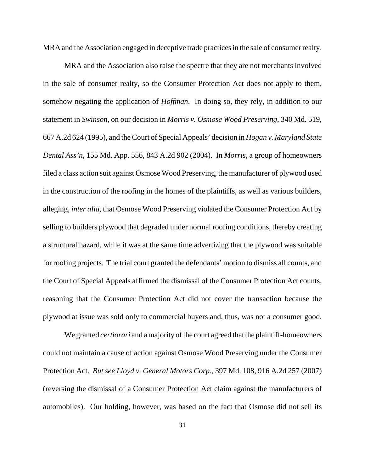MRA and the Association engaged in deceptive trade practices in the sale of consumer realty.

MRA and the Association also raise the spectre that they are not merchants involved in the sale of consumer realty, so the Consumer Protection Act does not apply to them, somehow negating the application of *Hoffman*. In doing so, they rely, in addition to our statement in *Swinson*, on our decision in *Morris v. Osmose Wood Preserving*, 340 Md. 519, 667 A.2d 624 (1995), and the Court of Special Appeals' decision in *Hogan v. Maryland State Dental Ass'n*, 155 Md. App. 556, 843 A.2d 902 (2004). In *Morris*, a group of homeowners filed a class action suit against Osmose Wood Preserving, the manufacturer of plywood used in the construction of the roofing in the homes of the plaintiffs, as well as various builders, alleging, *inter alia*, that Osmose Wood Preserving violated the Consumer Protection Act by selling to builders plywood that degraded under normal roofing conditions, thereby creating a structural hazard, while it was at the same time advertizing that the plywood was suitable for roofing projects. The trial court granted the defendants' motion to dismiss all counts, and the Court of Special Appeals affirmed the dismissal of the Consumer Protection Act counts, reasoning that the Consumer Protection Act did not cover the transaction because the plywood at issue was sold only to commercial buyers and, thus, was not a consumer good.

We granted *certiorari* and a majority of the court agreed that the plaintiff-homeowners could not maintain a cause of action against Osmose Wood Preserving under the Consumer Protection Act. *But see Lloyd v. General Motors Corp.*, 397 Md. 108, 916 A.2d 257 (2007) (reversing the dismissal of a Consumer Protection Act claim against the manufacturers of automobiles). Our holding, however, was based on the fact that Osmose did not sell its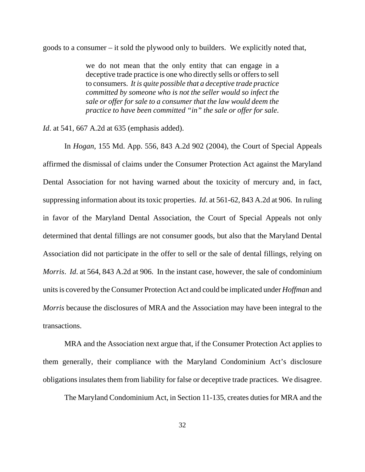goods to a consumer – it sold the plywood only to builders. We explicitly noted that,

we do not mean that the only entity that can engage in a deceptive trade practice is one who directly sells or offers to sell to consumers. *It is quite possible that a deceptive trade practice committed by someone who is not the seller would so infect the sale or offer for sale to a consumer that the law would deem the practice to have been committed "in" the sale or offer for sale*.

*Id*. at 541, 667 A.2d at 635 (emphasis added).

In *Hogan*, 155 Md. App. 556, 843 A.2d 902 (2004), the Court of Special Appeals affirmed the dismissal of claims under the Consumer Protection Act against the Maryland Dental Association for not having warned about the toxicity of mercury and, in fact, suppressing information about its toxic properties. *Id*. at 561-62, 843 A.2d at 906. In ruling in favor of the Maryland Dental Association, the Court of Special Appeals not only determined that dental fillings are not consumer goods, but also that the Maryland Dental Association did not participate in the offer to sell or the sale of dental fillings, relying on *Morris*. *Id*. at 564, 843 A.2d at 906. In the instant case, however, the sale of condominium units is covered by the Consumer Protection Act and could be implicated under *Hoffman* and *Morris* because the disclosures of MRA and the Association may have been integral to the transactions.

MRA and the Association next argue that, if the Consumer Protection Act applies to them generally, their compliance with the Maryland Condominium Act's disclosure obligations insulates them from liability for false or deceptive trade practices. We disagree.

The Maryland Condominium Act, in Section 11-135, creates duties for MRA and the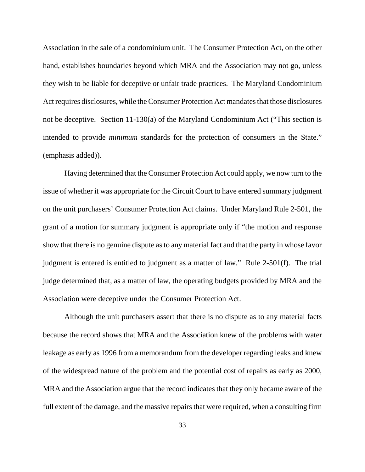Association in the sale of a condominium unit. The Consumer Protection Act, on the other hand, establishes boundaries beyond which MRA and the Association may not go, unless they wish to be liable for deceptive or unfair trade practices. The Maryland Condominium Act requires disclosures, while the Consumer Protection Act mandates that those disclosures not be deceptive. Section 11-130(a) of the Maryland Condominium Act ("This section is intended to provide *minimum* standards for the protection of consumers in the State." (emphasis added)).

Having determined that the Consumer Protection Act could apply, we now turn to the issue of whether it was appropriate for the Circuit Court to have entered summary judgment on the unit purchasers' Consumer Protection Act claims. Under Maryland Rule 2-501, the grant of a motion for summary judgment is appropriate only if "the motion and response show that there is no genuine dispute as to any material fact and that the party in whose favor judgment is entered is entitled to judgment as a matter of law." Rule 2-501(f). The trial judge determined that, as a matter of law, the operating budgets provided by MRA and the Association were deceptive under the Consumer Protection Act.

Although the unit purchasers assert that there is no dispute as to any material facts because the record shows that MRA and the Association knew of the problems with water leakage as early as 1996 from a memorandum from the developer regarding leaks and knew of the widespread nature of the problem and the potential cost of repairs as early as 2000, MRA and the Association argue that the record indicates that they only became aware of the full extent of the damage, and the massive repairs that were required, when a consulting firm